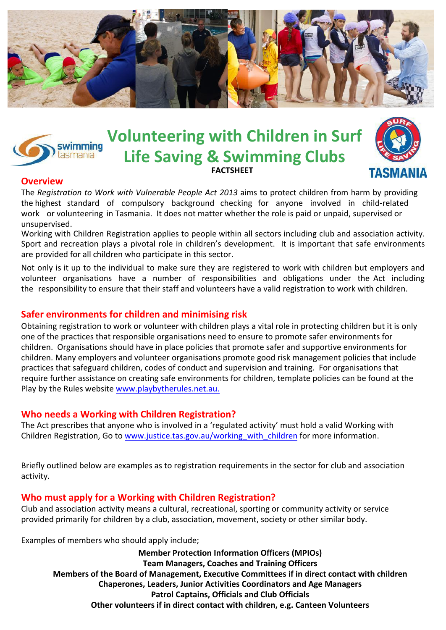



**Volunteering with Children in Surf Life Saving & Swimming Clubs FACTSHEET**



## **Overview**

The *Registration to Work with Vulnerable People Act 2013* aims to protect children from harm by providing the highest standard of compulsory background checking for anyone involved in child-related work or volunteering in Tasmania. It does not matter whether the role is paid or unpaid, supervised or unsupervised.

Working with Children Registration applies to people within all sectors including club and association activity. Sport and recreation plays a pivotal role in children's development. It is important that safe environments are provided for all children who participate in this sector.

Not only is it up to the individual to make sure they are registered to work with children but employers and volunteer organisations have a number of responsibilities and obligations under the Act including the responsibility to ensure that their staff and volunteers have a valid registration to work with children.

## **Safer environments for children and minimising risk**

Obtaining registration to work or volunteer with children plays a vital role in protecting children but it is only one of the practices that responsible organisations need to ensure to promote safer environments for children. Organisations should have in place policies that promote safer and supportive environments for children. Many employers and volunteer organisations promote good risk management policies that include practices that safeguard children, codes of conduct and supervision and training. For organisations that require further assistance on creating safe environments for children, template policies can be found at the Play by the Rules website [www.playbytherules.net.au](http://www.playbytherules.net.au/).

## **Who needs a Working with Children Registration?**

The Act prescribes that anyone who is involved in a 'regulated activity' must hold a valid Working with Children Registration, Go to www.justice.tas.gov.au/working\_with\_children for more information.

Briefly outlined below are examples as to registration requirements in the sector for club and association activity.

## **Who must apply for a Working with Children Registration?**

Club and association activity means a cultural, recreational, sporting or community activity or service provided primarily for children by a club, association, movement, society or other similar body.

Examples of members who should apply include;

**Member Protection Information Officers (MPIOs) Team Managers, Coaches and Training Officers Members of the Board of Management, Executive Committees if in direct contact with children Chaperones, Leaders, Junior Activities Coordinators and Age Managers Patrol Captains, Officials and Club Officials Other volunteers if in direct contact with children, e.g. Canteen Volunteers**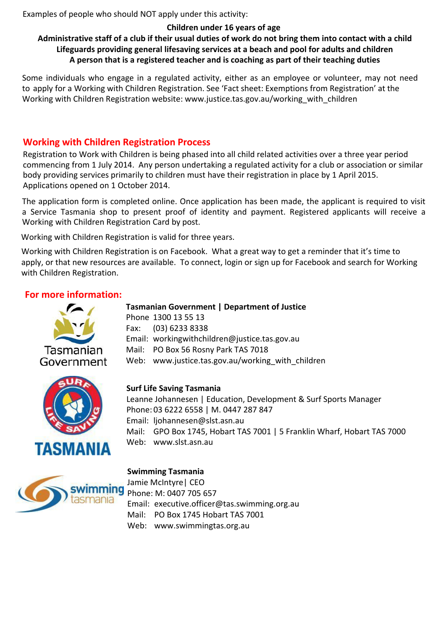Examples of people who should NOT apply under this activity:

## **Children under 16 years of age Administrative staff of a club if their usual duties of work do not bring them into contact with a child Lifeguards providing general lifesaving services at a beach and pool for adults and children A person that is a registered teacher and is coaching as part of their teaching duties**

Some individuals who engage in a regulated activity, either as an employee or volunteer, may not need to apply for a Working with Children Registration. See 'Fact sheet: Exemptions from Registration' at the Working with Children Registration website: www.justice.tas.gov.au/working with children

## **Working with Children Registration Process**

Registration to Work with Children is being phased into all child related activities over a three year period commencing from 1 July 2014. Any person undertaking a regulated activity for a club or association or similar body providing services primarily to children must have their registration in place by 1 April 2015. Applications opened on 1 October 2014.

The application form is completed online. Once application has been made, the applicant is required to visit a Service Tasmania shop to present proof of identity and payment. Registered applicants will receive a Working with Children Registration Card by post.

Working with Children Registration is valid for three years.

Working with Children Registration is on Facebook. What a great way to get a reminder that it's time to apply, or that new resources are available. To connect, login or sign up for Facebook and search for Working with Children Registration.

## **For more information:**



**Tasmanian Government | Department of Justice**  Phone 1300 13 55 13 Fax: (03) 6233 8338 Email: workingwithchildren@justice.tas.gov.au Mail: PO Box 56 Rosny Park TAS 7018 Web: www.justice.tas.gov.au/working with children



## **Surf Life Saving Tasmania**

Leanne Johannesen | Education, Development & Surf Sports Manager Phone: 03 6222 6558 | M. 0447 287 847 Email: ljohannesen@slst.asn.au Mail: GPO Box 1745, Hobart TAS 7001 | 5 Franklin Wharf, Hobart TAS 7000 Web: www.slst.asn.au



## Jamie McIntyre| CEO Phone: M: 0407 705 657 Email: executive.officer@tas.swimming.org.au Mail: PO Box 1745 Hobart TAS 7001 Web: www.swimmingtas.org.au